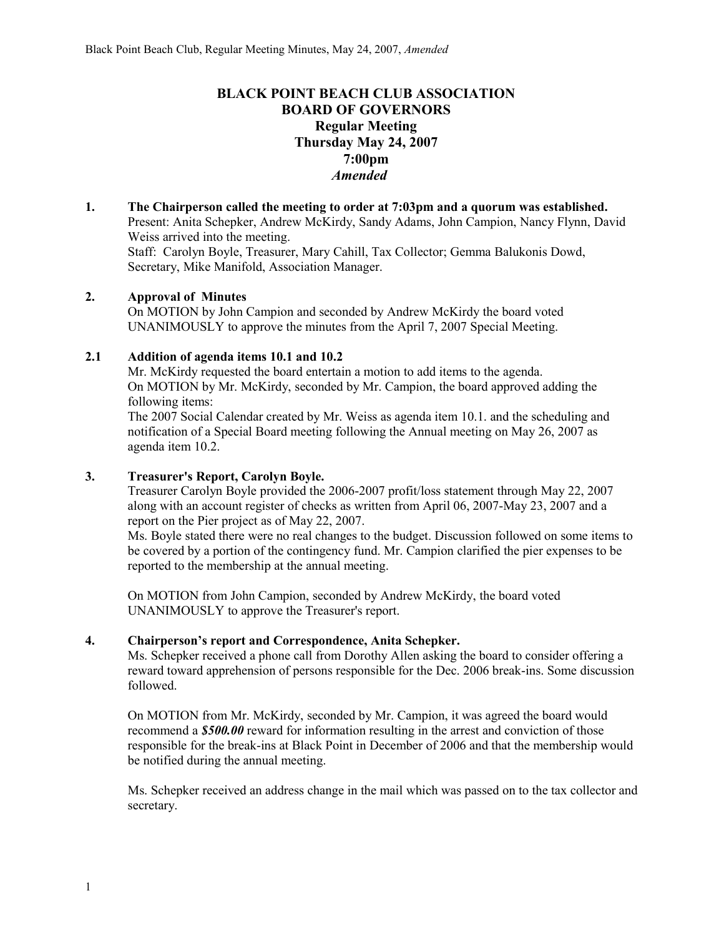# **BLACK POINT BEACH CLUB ASSOCIATION BOARD OF GOVERNORS Regular Meeting Thursday May 24, 2007 7:00pm** *Amended*

**1. The Chairperson called the meeting to order at 7:03pm and a quorum was established.** Present: Anita Schepker, Andrew McKirdy, Sandy Adams, John Campion, Nancy Flynn, David Weiss arrived into the meeting. Staff: Carolyn Boyle, Treasurer, Mary Cahill, Tax Collector; Gemma Balukonis Dowd, Secretary, Mike Manifold, Association Manager.

# **2. Approval of Minutes**

On MOTION by John Campion and seconded by Andrew McKirdy the board voted UNANIMOUSLY to approve the minutes from the April 7, 2007 Special Meeting.

# **2.1 Addition of agenda items 10.1 and 10.2**

Mr. McKirdy requested the board entertain a motion to add items to the agenda. On MOTION by Mr. McKirdy, seconded by Mr. Campion, the board approved adding the following items:

The 2007 Social Calendar created by Mr. Weiss as agenda item 10.1. and the scheduling and notification of a Special Board meeting following the Annual meeting on May 26, 2007 as agenda item 10.2.

# **3. Treasurer's Report, Carolyn Boyle.**

Treasurer Carolyn Boyle provided the 2006-2007 profit/loss statement through May 22, 2007 along with an account register of checks as written from April 06, 2007-May 23, 2007 and a report on the Pier project as of May 22, 2007.

Ms. Boyle stated there were no real changes to the budget. Discussion followed on some items to be covered by a portion of the contingency fund. Mr. Campion clarified the pier expenses to be reported to the membership at the annual meeting.

On MOTION from John Campion, seconded by Andrew McKirdy, the board voted UNANIMOUSLY to approve the Treasurer's report.

# **4. Chairperson's report and Correspondence, Anita Schepker.**

Ms. Schepker received a phone call from Dorothy Allen asking the board to consider offering a reward toward apprehension of persons responsible for the Dec. 2006 break-ins. Some discussion followed.

On MOTION from Mr. McKirdy, seconded by Mr. Campion, it was agreed the board would recommend a *\$500.00* reward for information resulting in the arrest and conviction of those responsible for the break-ins at Black Point in December of 2006 and that the membership would be notified during the annual meeting.

Ms. Schepker received an address change in the mail which was passed on to the tax collector and secretary.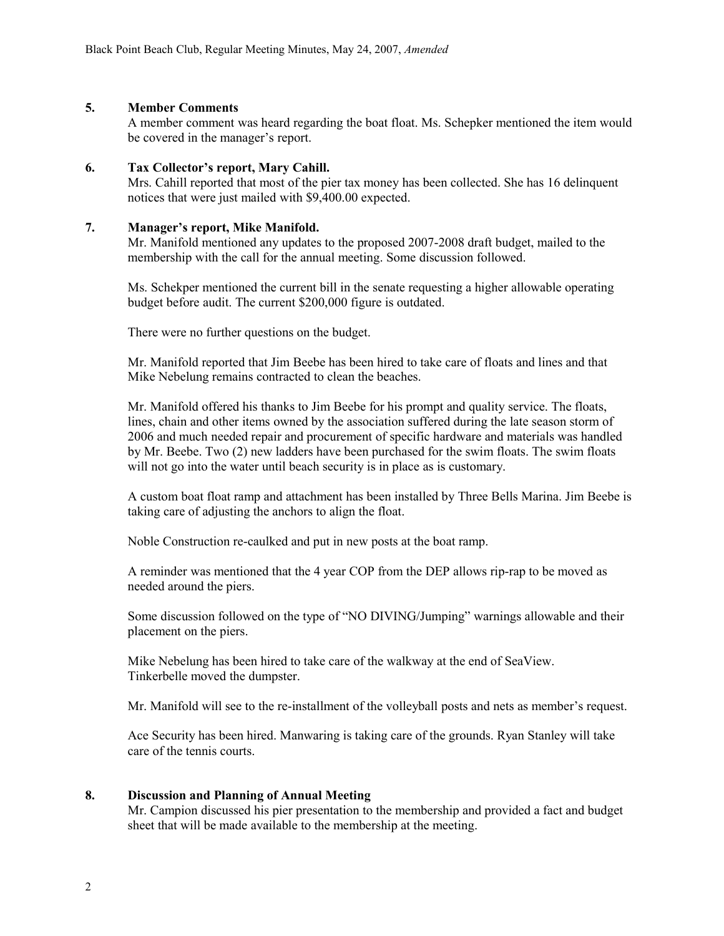### **5. Member Comments**

A member comment was heard regarding the boat float. Ms. Schepker mentioned the item would be covered in the manager's report.

### **6. Tax Collector's report, Mary Cahill.**

Mrs. Cahill reported that most of the pier tax money has been collected. She has 16 delinquent notices that were just mailed with \$9,400.00 expected.

#### **7. Manager's report, Mike Manifold.**

Mr. Manifold mentioned any updates to the proposed 2007-2008 draft budget, mailed to the membership with the call for the annual meeting. Some discussion followed.

Ms. Schekper mentioned the current bill in the senate requesting a higher allowable operating budget before audit. The current \$200,000 figure is outdated.

There were no further questions on the budget.

Mr. Manifold reported that Jim Beebe has been hired to take care of floats and lines and that Mike Nebelung remains contracted to clean the beaches.

Mr. Manifold offered his thanks to Jim Beebe for his prompt and quality service. The floats, lines, chain and other items owned by the association suffered during the late season storm of 2006 and much needed repair and procurement of specific hardware and materials was handled by Mr. Beebe. Two (2) new ladders have been purchased for the swim floats. The swim floats will not go into the water until beach security is in place as is customary.

A custom boat float ramp and attachment has been installed by Three Bells Marina. Jim Beebe is taking care of adjusting the anchors to align the float.

Noble Construction re-caulked and put in new posts at the boat ramp.

A reminder was mentioned that the 4 year COP from the DEP allows rip-rap to be moved as needed around the piers.

Some discussion followed on the type of "NO DIVING/Jumping" warnings allowable and their placement on the piers.

Mike Nebelung has been hired to take care of the walkway at the end of SeaView. Tinkerbelle moved the dumpster.

Mr. Manifold will see to the re-installment of the volleyball posts and nets as member's request.

Ace Security has been hired. Manwaring is taking care of the grounds. Ryan Stanley will take care of the tennis courts.

## **8. Discussion and Planning of Annual Meeting**

Mr. Campion discussed his pier presentation to the membership and provided a fact and budget sheet that will be made available to the membership at the meeting.